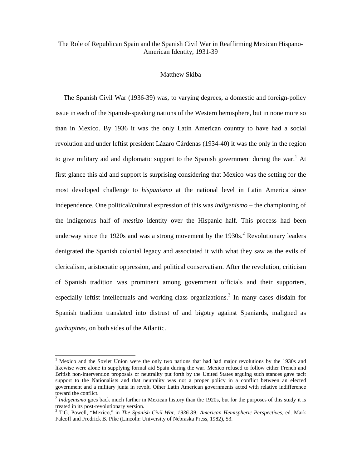# The Role of Republican Spain and the Spanish Civil War in Reaffirming Mexican Hispano-American Identity, 1931-39

#### Matthew Skiba

 The Spanish Civil War (1936-39) was, to varying degrees, a domestic and foreign-policy issue in each of the Spanish-speaking nations of the Western hemisphere, but in none more so than in Mexico. By 1936 it was the only Latin American country to have had a social revolution and under leftist president Lázaro Cárdenas (1934-40) it was the only in the region to give military aid and diplomatic support to the Spanish government during the war.<sup>1</sup> At first glance this aid and support is surprising considering that Mexico was the setting for the most developed challenge to *hispanismo* at the national level in Latin America since independence. One political/cultural expression of this was *indigenismo* – the championing of the indigenous half of *mestizo* identity over the Hispanic half. This process had been underway since the 1920s and was a strong movement by the  $1930s$ <sup>2</sup> Revolutionary leaders denigrated the Spanish colonial legacy and associated it with what they saw as the evils of clericalism, aristocratic oppression, and political conservatism. After the revolution, criticism of Spanish tradition was prominent among government officials and their supporters, especially leftist intellectuals and working-class organizations.<sup>3</sup> In many cases disdain for Spanish tradition translated into distrust of and bigotry against Spaniards, maligned as *gachupines*, on both sides of the Atlantic.

<sup>&</sup>lt;sup>1</sup> Mexico and the Soviet Union were the only two nations that had had major revolutions by the 1930s and likewise were alone in supplying formal aid Spain during the war. Mexico refused to follow either French and British non-intervention proposals or neutrality put forth by the United States arguing such stances gave tacit support to the Nationalists and that neutrality was not a proper policy in a conflict between an elected government and a military junta in revolt. Other Latin American governments acted with relative indifference toward the conflict.

<sup>&</sup>lt;sup>2</sup> Indigenismo goes back much farther in Mexican history than the 1920s, but for the purposes of this study it is treated in its post-revolutionary version.

<sup>3</sup> T.G. Powell, "Mexico," in *The Spanish Civil War, 1936-39: American Hemispheric Perspectives*, ed. Mark Falcoff and Fredrick B. Pike (Lincoln: University of Nebraska Press, 1982), 53.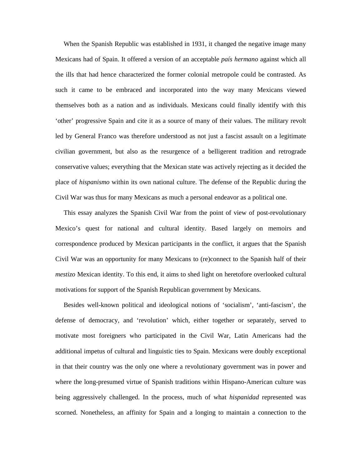When the Spanish Republic was established in 1931, it changed the negative image many Mexicans had of Spain. It offered a version of an acceptable *país hermano* against which all the ills that had hence characterized the former colonial metropole could be contrasted. As such it came to be embraced and incorporated into the way many Mexicans viewed themselves both as a nation and as individuals. Mexicans could finally identify with this 'other' progressive Spain and cite it as a source of many of their values. The military revolt led by General Franco was therefore understood as not just a fascist assault on a legitimate civilian government, but also as the resurgence of a belligerent tradition and retrograde conservative values; everything that the Mexican state was actively rejecting as it decided the place of *hispanismo* within its own national culture. The defense of the Republic during the Civil War was thus for many Mexicans as much a personal endeavor as a political one.

 This essay analyzes the Spanish Civil War from the point of view of post-revolutionary Mexico's quest for national and cultural identity. Based largely on memoirs and correspondence produced by Mexican participants in the conflict, it argues that the Spanish Civil War was an opportunity for many Mexicans to (re)connect to the Spanish half of their *mestizo* Mexican identity. To this end, it aims to shed light on heretofore overlooked cultural motivations for support of the Spanish Republican government by Mexicans.

 Besides well-known political and ideological notions of 'socialism', 'anti-fascism', the defense of democracy, and 'revolution' which, either together or separately, served to motivate most foreigners who participated in the Civil War, Latin Americans had the additional impetus of cultural and linguistic ties to Spain. Mexicans were doubly exceptional in that their country was the only one where a revolutionary government was in power and where the long-presumed virtue of Spanish traditions within Hispano-American culture was being aggressively challenged. In the process, much of what *hispanidad* represented was scorned. Nonetheless, an affinity for Spain and a longing to maintain a connection to the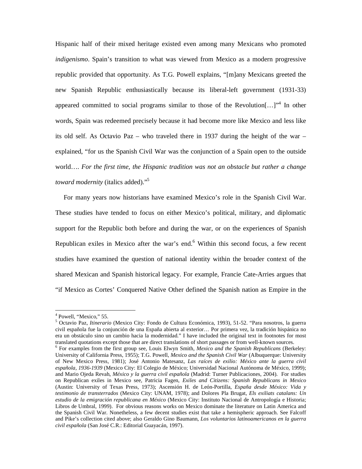Hispanic half of their mixed heritage existed even among many Mexicans who promoted *indigenismo*. Spain's transition to what was viewed from Mexico as a modern progressive republic provided that opportunity. As T.G. Powell explains, "[m]any Mexicans greeted the new Spanish Republic enthusiastically because its liberal-left government (1931-33) appeared committed to social programs similar to those of the Revolution $[...]^{34}$  In other words, Spain was redeemed precisely because it had become more like Mexico and less like its old self. As Octavio Paz – who traveled there in 1937 during the height of the war – explained, "for us the Spanish Civil War was the conjunction of a Spain open to the outside world…. *For the first time, the Hispanic tradition was not an obstacle but rather a change toward modernity* (italics added)."<sup>5</sup>

 For many years now historians have examined Mexico's role in the Spanish Civil War. These studies have tended to focus on either Mexico's political, military, and diplomatic support for the Republic both before and during the war, or on the experiences of Spanish Republican exiles in Mexico after the war's end. $6$  Within this second focus, a few recent studies have examined the question of national identity within the broader context of the shared Mexican and Spanish historical legacy. For example, Francie Cate-Arries argues that "if Mexico as Cortes' Conquered Native Other defined the Spanish nation as Empire in the

<sup>&</sup>lt;sup>4</sup> Powell, "Mexico," 55.

<sup>5</sup> Octavio Paz, *Itinerario* (Mexico City: Fondo de Cultura Económica, 1993), 51-52. "Para nosotros, la guerra civil española fue la conjunción de una España abierta al exterior… Por primera vez, la tradición hispánica no era un obstáculo sino un cambio hacia la modernidad." I have included the original text in footnotes for most translated quotations except those that are direct translations of short passages or from well-known sources.

<sup>6</sup> For examples from the first group see, Louis Elwyn Smith, *Mexico and the Spanish Republicans* (Berkeley: University of California Press, 1955); T.G. Powell, *Mexico and the Spanish Civil War* (Albuquerque: University of New Mexico Press, 1981); José Antonio Matesanz, *Las raíces de exilio: México ante la guerra civil española, 1936-1939* (Mexico City: El Colegio de México; Universidad Nacional Autónoma de México, 1999); and Mario Ojeda Revah, *México y la guerra civil española* (Madrid: Turner Publicaciones, 2004). For studies on Republican exiles in Mexico see, Patricia Fagen, *Exiles and Citizens: Spanish Republicans in Mexico* (Austin: University of Texas Press, 1973); Ascensión H. de León-Portilla, *España desde México: Vida y testimonio de transterrados* (Mexico City: UNAM, 1978); and Dolores Pla Brugat, *Els exiliats catalans: Un estudio de la emigración republicana en México* (Mexico City: Instituto Nacional de Antropología e Historia; Libros de Umbral, 1999). For obvious reasons works on Mexico dominate the literature on Latin America and the Spanish Civil War. Nonetheless, a few decent studies exist that take a hemispheric approach. See Falcoff and Pike's collection cited above; also Geraldo Gino Baumann, *Los voluntarios latinoamericanos en la guerra civil española* (San José C.R.: Editorial Guayacán, 1997).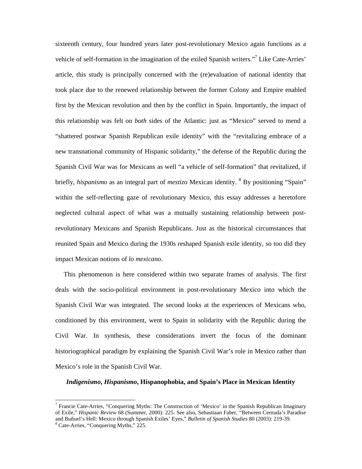sixteenth century, four hundred years later post-revolutionary Mexico again functions as a vehicle of self-formation in the imagination of the exiled Spanish writers."<sup>7</sup> Like Cate-Arries' article, this study is principally concerned with the (re)evaluation of national identity that took place due to the renewed relationship between the former Colony and Empire enabled first by the Mexican revolution and then by the conflict in Spain. Importantly, the impact of this relationship was felt on *both* sides of the Atlantic: just as "Mexico" served to mend a "shattered postwar Spanish Republican exile identity" with the "revitalizing embrace of a new transnational community of Hispanic solidarity," the defense of the Republic during the Spanish Civil War was for Mexicans as well "a vehicle of self-formation" that revitalized, if briefly, *hispanismo* as an integral part of *mestizo* Mexican identity. <sup>8</sup> By positioning "Spain" within the self-reflecting gaze of revolutionary Mexico, this essay addresses a heretofore neglected cultural aspect of what was a mutually sustaining relationship between postrevolutionary Mexicans and Spanish Republicans. Just as the historical circumstances that reunited Spain and Mexico during the 1930s reshaped Spanish exile identity, so too did they impact Mexican notions of *lo mexicano*.

 This phenomenon is here considered within two separate frames of analysis. The first deals with the socio-political environment in post-revolutionary Mexico into which the Spanish Civil War was integrated. The second looks at the experiences of Mexicans who, conditioned by this environment, went to Spain in solidarity with the Republic during the Civil War. In synthesis, these considerations invert the focus of the dominant historiographical paradigm by explaining the Spanish Civil War's role in Mexico rather than Mexico's role in the Spanish Civil War.

## *Indigenismo***,** *Hispanismo***, Hispanophobia, and Spain's Place in Mexican Identity**

<sup>&</sup>lt;sup>7</sup> Francie Cate-Arries, "Conquering Myths: The Construction of 'Mexico' in the Spanish Republican Imaginary of Exile," *Hispanic Review* 68 (Summer, 2000): 225. See also, Sebastiaan Faber, "Between Cernuda's Paradise and Buñuel's Hell: Mexico through Spanish Exiles' Eyes," *Bulletin of Spanish Studies* 80 (2003): 219-39. <sup>8</sup> Cate-Arries, "Conquering Myths," 225.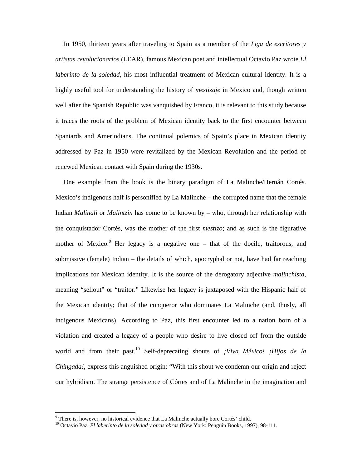In 1950, thirteen years after traveling to Spain as a member of the *Liga de escritores y artistas revolucionarios* (LEAR), famous Mexican poet and intellectual Octavio Paz wrote *El laberinto de la soledad*, his most influential treatment of Mexican cultural identity. It is a highly useful tool for understanding the history of *mestizaje* in Mexico and, though written well after the Spanish Republic was vanquished by Franco, it is relevant to this study because it traces the roots of the problem of Mexican identity back to the first encounter between Spaniards and Amerindians. The continual polemics of Spain's place in Mexican identity addressed by Paz in 1950 were revitalized by the Mexican Revolution and the period of renewed Mexican contact with Spain during the 1930s.

 One example from the book is the binary paradigm of La Malinche/Hernán Cortés. Mexico's indigenous half is personified by La Malinche – the corrupted name that the female Indian *Malinali* or *Malintzin* has come to be known by – who, through her relationship with the conquistador Cortés, was the mother of the first *mestizo*; and as such is the figurative mother of Mexico. $9$  Her legacy is a negative one  $-$  that of the docile, traitorous, and submissive (female) Indian – the details of which, apocryphal or not, have had far reaching implications for Mexican identity. It is the source of the derogatory adjective *malinchista*, meaning "sellout" or "traitor." Likewise her legacy is juxtaposed with the Hispanic half of the Mexican identity; that of the conqueror who dominates La Malinche (and, thusly, all indigenous Mexicans). According to Paz, this first encounter led to a nation born of a violation and created a legacy of a people who desire to live closed off from the outside world and from their past.<sup>10</sup> Self-deprecating shouts of *¡Viva México! ¡Hijos de la Chingada!*, express this anguished origin: "With this shout we condemn our origin and reject our hybridism. The strange persistence of Córtes and of La Malinche in the imagination and

<sup>&</sup>lt;sup>9</sup> There is, however, no historical evidence that La Malinche actually bore Cortés' child.

<sup>10</sup> Octavio Paz, *El laberinto de la soledad y otras obras* (New York: Penguin Books, 1997), 98-111.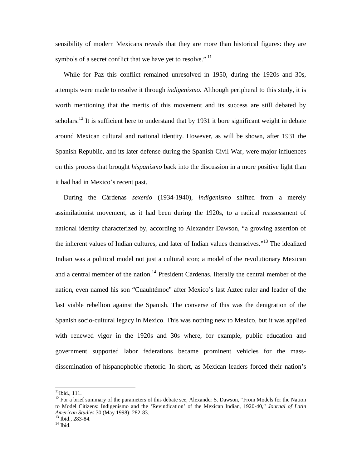sensibility of modern Mexicans reveals that they are more than historical figures: they are symbols of a secret conflict that we have yet to resolve."<sup>11</sup>

 While for Paz this conflict remained unresolved in 1950, during the 1920s and 30s, attempts were made to resolve it through *indigenismo*. Although peripheral to this study, it is worth mentioning that the merits of this movement and its success are still debated by scholars.<sup>12</sup> It is sufficient here to understand that by 1931 it bore significant weight in debate around Mexican cultural and national identity. However, as will be shown, after 1931 the Spanish Republic, and its later defense during the Spanish Civil War, were major influences on this process that brought *hispanismo* back into the discussion in a more positive light than it had had in Mexico's recent past.

 During the Cárdenas *sexenio* (1934-1940), *indigenismo* shifted from a merely assimilationist movement, as it had been during the 1920s, to a radical reassessment of national identity characterized by, according to Alexander Dawson, "a growing assertion of the inherent values of Indian cultures, and later of Indian values themselves."<sup>13</sup> The idealized Indian was a political model not just a cultural icon; a model of the revolutionary Mexican and a central member of the nation.<sup>14</sup> President Cárdenas, literally the central member of the nation, even named his son "Cuauhtémoc" after Mexico's last Aztec ruler and leader of the last viable rebellion against the Spanish. The converse of this was the denigration of the Spanish socio-cultural legacy in Mexico. This was nothing new to Mexico, but it was applied with renewed vigor in the 1920s and 30s where, for example, public education and government supported labor federations became prominent vehicles for the massdissemination of hispanophobic rhetoric. In short, as Mexican leaders forced their nation's

 $11$ Ibid., 111.

<sup>&</sup>lt;sup>12</sup> For a brief summary of the parameters of this debate see, Alexander S. Dawson, "From Models for the Nation to Model Citizens: Indigenismo and the 'Revindication' of the Mexican Indian, 1920-40," *Journal of Latin American Studies* 30 (May 1998): 282-83. <sup>13</sup> Ibid., 283-84.

 $14$  Ibid.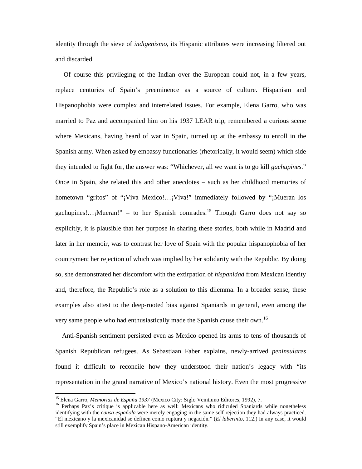identity through the sieve of *indigenismo*, its Hispanic attributes were increasing filtered out and discarded.

 Of course this privileging of the Indian over the European could not, in a few years, replace centuries of Spain's preeminence as a source of culture. Hispanism and Hispanophobia were complex and interrelated issues. For example, Elena Garro, who was married to Paz and accompanied him on his 1937 LEAR trip, remembered a curious scene where Mexicans, having heard of war in Spain, turned up at the embassy to enroll in the Spanish army. When asked by embassy functionaries (rhetorically, it would seem) which side they intended to fight for, the answer was: "Whichever, all we want is to go kill *gachupines*." Once in Spain, she related this and other anecdotes – such as her childhood memories of hometown "gritos" of "¡Viva Mexico!...;Viva!" immediately followed by "¡Mueran los gachupines!...; Mueran!" – to her Spanish comrades.<sup>15</sup> Though Garro does not say so explicitly, it is plausible that her purpose in sharing these stories, both while in Madrid and later in her memoir, was to contrast her love of Spain with the popular hispanophobia of her countrymen; her rejection of which was implied by her solidarity with the Republic. By doing so, she demonstrated her discomfort with the extirpation of *hispanidad* from Mexican identity and, therefore, the Republic's role as a solution to this dilemma. In a broader sense, these examples also attest to the deep-rooted bias against Spaniards in general, even among the very same people who had enthusiastically made the Spanish cause their own.<sup>16</sup>

 Anti-Spanish sentiment persisted even as Mexico opened its arms to tens of thousands of Spanish Republican refugees. As Sebastiaan Faber explains, newly-arrived *peninsulares* found it difficult to reconcile how they understood their nation's legacy with "its representation in the grand narrative of Mexico's national history. Even the most progressive

<sup>15</sup> Elena Garro, *Memorias de España 1937* (Mexico City: Siglo Veintiuno Editores, 1992), 7.

<sup>&</sup>lt;sup>16</sup> Perhaps Paz's critique is applicable here as well: Mexicans who ridiculed Spaniards while nonetheless identifying with the *causa española* were merely engaging in the same self-rejection they had always practiced. "El mexicano y la mexicanidad se definen como ruptura y negación." (*El laberinto*, 112.) In any case, it would still exemplify Spain's place in Mexican Hispano-American identity.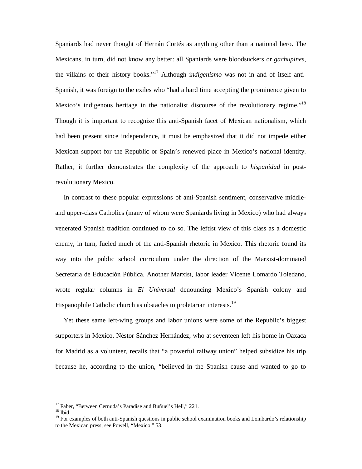Spaniards had never thought of Hernán Cortés as anything other than a national hero. The Mexicans, in turn, did not know any better: all Spaniards were bloodsuckers or *gachupines*, the villains of their history books."<sup>17</sup> Although i*ndigenismo* was not in and of itself anti-Spanish, it was foreign to the exiles who "had a hard time accepting the prominence given to Mexico's indigenous heritage in the nationalist discourse of the revolutionary regime."<sup>18</sup> Though it is important to recognize this anti-Spanish facet of Mexican nationalism, which had been present since independence, it must be emphasized that it did not impede either Mexican support for the Republic or Spain's renewed place in Mexico's national identity. Rather, it further demonstrates the complexity of the approach to *hispanidad* in postrevolutionary Mexico.

 In contrast to these popular expressions of anti-Spanish sentiment, conservative middleand upper-class Catholics (many of whom were Spaniards living in Mexico) who had always venerated Spanish tradition continued to do so. The leftist view of this class as a domestic enemy, in turn, fueled much of the anti-Spanish rhetoric in Mexico. This rhetoric found its way into the public school curriculum under the direction of the Marxist-dominated Secretaría de Educación Pública. Another Marxist, labor leader Vicente Lomardo Toledano, wrote regular columns in *El Universal* denouncing Mexico's Spanish colony and Hispanophile Catholic church as obstacles to proletarian interests.<sup>19</sup>

 Yet these same left-wing groups and labor unions were some of the Republic's biggest supporters in Mexico. Néstor Sánchez Hernández, who at seventeen left his home in Oaxaca for Madrid as a volunteer, recalls that "a powerful railway union" helped subsidize his trip because he, according to the union, "believed in the Spanish cause and wanted to go to

<sup>&</sup>lt;sup>17</sup> Faber, "Between Cernuda's Paradise and Buñuel's Hell," 221.

 $^{18}$  Ibid.

<sup>&</sup>lt;sup>19</sup> For examples of both anti-Spanish questions in public school examination books and Lombardo's relationship to the Mexican press, see Powell, "Mexico," 53.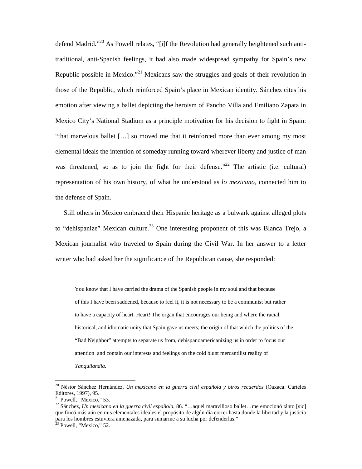defend Madrid."<sup>20</sup> As Powell relates, "[i]f the Revolution had generally heightened such antitraditional, anti-Spanish feelings, it had also made widespread sympathy for Spain's new Republic possible in Mexico."<sup>21</sup> Mexicans saw the struggles and goals of their revolution in those of the Republic, which reinforced Spain's place in Mexican identity. Sánchez cites his emotion after viewing a ballet depicting the heroism of Pancho Villa and Emiliano Zapata in Mexico City's National Stadium as a principle motivation for his decision to fight in Spain: "that marvelous ballet […] so moved me that it reinforced more than ever among my most elemental ideals the intention of someday running toward wherever liberty and justice of man was threatened, so as to join the fight for their defense."<sup>22</sup> The artistic (i.e. cultural) representation of his own history, of what he understood as *lo mexicano*, connected him to the defense of Spain.

 Still others in Mexico embraced their Hispanic heritage as a bulwark against alleged plots to "dehispanize" Mexican culture.<sup>23</sup> One interesting proponent of this was Blanca Trejo, a Mexican journalist who traveled to Spain during the Civil War. In her answer to a letter writer who had asked her the significance of the Republican cause, she responded:

You know that I have carried the drama of the Spanish people in my soul and that because of this I have been saddened, because to feel it, it is not necessary to be a communist but rather to have a capacity of heart. Heart! The organ that encourages our being and where the racial, historical, and idiomatic unity that Spain gave us meets; the origin of that which the politics of the "Bad Neighbor" attempts to separate us from, dehispanoamericanizing us in order to focus our attention and contain our interests and feelings on the cold blunt mercantilist reality of *Yanquilandia*.

<sup>20</sup> Néstor Sánchez Hernández, *Un mexicano en la guerra civil española y otros recuerdos* (Oaxaca: Carteles Editores, 1997), 95.

<sup>&</sup>lt;sup>21</sup> Powell, "Mexico," 53.

<sup>22</sup> Sánchez, *Un mexicano en la guerra civil española*, 86. "…aquel maravilloso ballet…me emocionó tánto [sic] que fincó más aún en mis elementales ideales el propósito de algún día correr hasta donde la libertad y la justicia para los hombres estuviera amenazada, para sumarme a su lucha por defenderlas."

 $23$  Powell, "Mexico," 52.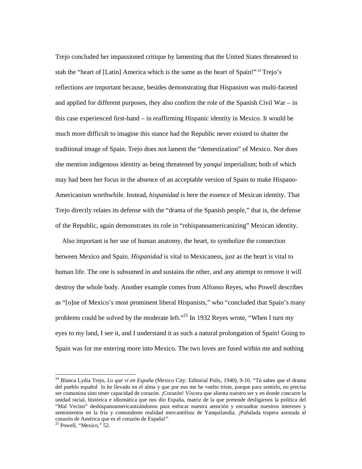Trejo concluded her impassioned critique by lamenting that the United States threatened to stab the "heart of [Latin] America which is the same as the heart of Spain!"<sup>24</sup> Trejo's reflections are important because, besides demonstrating that Hispanism was multi-faceted and applied for different purposes, they also confirm the role of the Spanish Civil War – in this case experienced first-hand – in reaffirming Hispanic identity in Mexico. It would be much more difficult to imagine this stance had the Republic never existed to shatter the traditional image of Spain. Trejo does not lament the "demestization" of Mexico. Nor does she mention indigenous identity as being threatened by *yanquí* imperialism; both of which may had been her focus in the absence of an acceptable version of Spain to make Hispano-Americanism worthwhile. Instead, *hispanidad* is here the essence of Mexican identity. That Trejo directly relates its defense with the "drama of the Spanish people," that is, the defense of the Republic, again demonstrates its role in "rehispanoamericanizing" Mexican identity.

 Also important is her use of human anatomy, the heart, to symbolize the connection between Mexico and Spain. *Hispanidad* is vital to Mexicaness, just as the heart is vital to human life. The one is subsumed in and sustains the other, and any attempt to remove it will destroy the whole body. Another example comes from Alfonso Reyes, who Powell describes as "[o]ne of Mexico's most prominent liberal Hispanists," who "concluded that Spain's many problems could be solved by the moderate left."<sup>25</sup> In 1932 Reyes wrote, "When I turn my eyes to my land, I see it, and I understand it as such a natural prolongation of Spain! Going to Spain was for me entering more into Mexico. The two loves are fused within me and nothing

<sup>24</sup> Blanca Lydia Trejo, *Lo que vi en España* (Mexico City: Editorial Polis, 1940), 9-10. "Tú sabes que el drama del pueblo español lo he llevado en el alma y que por eso me he vuelto triste, porque para sentirlo, no precisa ser comunista sino tener capacidad de corazón. ¡Corazón! Víscera que alienta nuestro ser y en donde concurre la unidad racial, histórica e idiomática que nos dio España, matriz de la que pretende desligarnos la política del "Mal Vecino" deshispanoamericanizándonos para enfocar nuestra atención y encuadrar nuestros intereses y sentimientos en la fría y contundente realidad mercantilista de Yanquilandia. ¡Puñalada trapera asestada al corazón de América que es el corazón de España!"

 $25$  Powell, "Mexico,"  $52$ .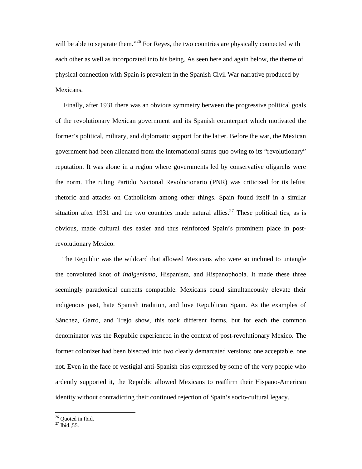will be able to separate them."<sup>26</sup> For Reyes, the two countries are physically connected with each other as well as incorporated into his being. As seen here and again below, the theme of physical connection with Spain is prevalent in the Spanish Civil War narrative produced by Mexicans.

 Finally, after 1931 there was an obvious symmetry between the progressive political goals of the revolutionary Mexican government and its Spanish counterpart which motivated the former's political, military, and diplomatic support for the latter. Before the war, the Mexican government had been alienated from the international status-quo owing to its "revolutionary" reputation. It was alone in a region where governments led by conservative oligarchs were the norm. The ruling Partido Nacional Revolucionario (PNR) was criticized for its leftist rhetoric and attacks on Catholicism among other things. Spain found itself in a similar situation after 1931 and the two countries made natural allies.<sup>27</sup> These political ties, as is obvious, made cultural ties easier and thus reinforced Spain's prominent place in postrevolutionary Mexico.

 The Republic was the wildcard that allowed Mexicans who were so inclined to untangle the convoluted knot of *indigenismo*, Hispanism, and Hispanophobia. It made these three seemingly paradoxical currents compatible. Mexicans could simultaneously elevate their indigenous past, hate Spanish tradition, and love Republican Spain. As the examples of Sánchez, Garro, and Trejo show, this took different forms, but for each the common denominator was the Republic experienced in the context of post-revolutionary Mexico. The former colonizer had been bisected into two clearly demarcated versions; one acceptable, one not. Even in the face of vestigial anti-Spanish bias expressed by some of the very people who ardently supported it, the Republic allowed Mexicans to reaffirm their Hispano-American identity without contradicting their continued rejection of Spain's socio-cultural legacy.

<sup>&</sup>lt;sup>26</sup> Ouoted in Ibid.

 $^{27}$  Ibid., 55.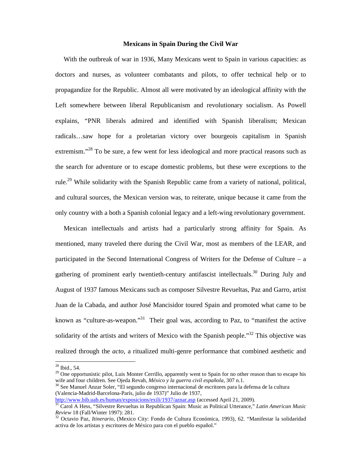### **Mexicans in Spain During the Civil War**

 With the outbreak of war in 1936, Many Mexicans went to Spain in various capacities: as doctors and nurses, as volunteer combatants and pilots, to offer technical help or to propagandize for the Republic. Almost all were motivated by an ideological affinity with the Left somewhere between liberal Republicanism and revolutionary socialism. As Powell explains, "PNR liberals admired and identified with Spanish liberalism; Mexican radicals…saw hope for a proletarian victory over bourgeois capitalism in Spanish extremism."<sup>28</sup> To be sure, a few went for less ideological and more practical reasons such as the search for adventure or to escape domestic problems, but these were exceptions to the rule.<sup>29</sup> While solidarity with the Spanish Republic came from a variety of national, political, and cultural sources, the Mexican version was, to reiterate, unique because it came from the only country with a both a Spanish colonial legacy and a left-wing revolutionary government.

 Mexican intellectuals and artists had a particularly strong affinity for Spain. As mentioned, many traveled there during the Civil War, most as members of the LEAR, and participated in the Second International Congress of Writers for the Defense of Culture – a gathering of prominent early twentieth-century antifascist intellectuals.<sup>30</sup> During July and August of 1937 famous Mexicans such as composer Silvestre Revueltas, Paz and Garro, artist Juan de la Cabada, and author José Mancisidor toured Spain and promoted what came to be known as "culture-as-weapon."<sup>31</sup> Their goal was, according to Paz, to "manifest the active solidarity of the artists and writers of Mexico with the Spanish people."<sup>32</sup> This objective was realized through the *acto*, a ritualized multi-genre performance that combined aesthetic and

<sup>28</sup> Ibid., 54.

<sup>&</sup>lt;sup>29</sup> One opportunistic pilot, Luis Monter Cerrillo, apparently went to Spain for no other reason than to escape his wife and four children. See Ojeda Revah, *México y la guerra civil española*, 307 n.1.

 $30$  See Manuel Anzar Soler, "El segundo congreso internacional de escritores para la defensa de la cultura (Valencia-Madrid-Barcelona-París, julio de 1937)" Julio de 1937,

http://www.bib.uab.es/human/exposicions/exili/1937/aznar.asp (accessed April 21, 2009).

<sup>31</sup> Carol A Hess, "Silvestre Revueltas in Republican Spain: Music as Political Utterance," *Latin American Music Review* 18 (Fall/Winter 1997): 281.

<sup>32</sup> Octavio Paz, *Itinerario*, (Mexico City: Fondo de Cultura Económica, 1993), 62. "Manifestar la solidaridad activa de los artistas y escritores de México para con el pueblo español."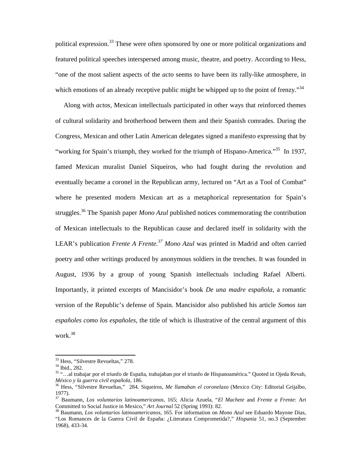political expression.<sup>33</sup> These were often sponsored by one or more political organizations and featured political speeches interspersed among music, theatre, and poetry. According to Hess, "one of the most salient aspects of the *acto* seems to have been its rally-like atmosphere, in which emotions of an already receptive public might be whipped up to the point of frenzy.<sup>34</sup>

 Along with *actos*, Mexican intellectuals participated in other ways that reinforced themes of cultural solidarity and brotherhood between them and their Spanish comrades. During the Congress, Mexican and other Latin American delegates signed a manifesto expressing that by "working for Spain's triumph, they worked for the triumph of Hispano-America."<sup>35</sup> In 1937, famed Mexican muralist Daniel Siqueiros, who had fought during the revolution and eventually became a coronel in the Republican army, lectured on "Art as a Tool of Combat" where he presented modern Mexican art as a metaphorical representation for Spain's struggles.<sup>36</sup> The Spanish paper *Mono Azul* published notices commemorating the contribution of Mexican intellectuals to the Republican cause and declared itself in solidarity with the LEAR's publication *Frente A Frente.<sup>37</sup> Mono Azul* was printed in Madrid and often carried poetry and other writings produced by anonymous soldiers in the trenches. It was founded in August, 1936 by a group of young Spanish intellectuals including Rafael Alberti. Importantly, it printed excerpts of Mancisidor's book *De una madre española*, a romantic version of the Republic's defense of Spain. Mancisidor also published his article *Somos tan españoles como los españoles*, the title of which is illustrative of the central argument of this work.<sup>38</sup>

<sup>33</sup> Hess, "Silvestre Revueltas," 278.

<sup>34</sup> Ibid., 282.

<sup>35</sup> "…al trabajar por el triunfo de España, trabajaban por el triunfo de Hispanoamérica." Quoted in Ojeda Revah, *México y la guerra civil española*, 186.

<sup>36</sup> Hess, "Silvestre Revueltas," 284. Siqueiros, *Me llamaban el coronelazo* (Mexico City: Editorial Grijalbo, 1977).

<sup>37</sup> Baumann, *Los voluntarios latinoamericanos*, 165; Alicia Azuela, "*El Machete* and *Frente a Frente*: Art Committed to Social Justice in Mexico," *Art Journal* 52 (Spring 1993): 82.

<sup>38</sup> Baumann, *Los voluntarios latinoamericanos*, 165. For information on *Mono Azul* see Eduardo Mayone Dias, "Los Romances de la Guerra Civil de España: ¿Literatura Comprometida?," *Hispania* 51, no.3 (September 1968), 433-34.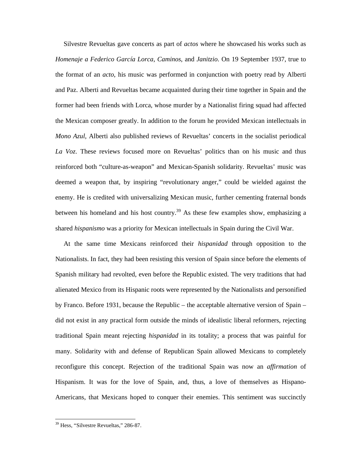Silvestre Revueltas gave concerts as part of *actos* where he showcased his works such as *Homenaje a Federico García Lorca*, *Caminos*, and *Janitzio*. On 19 September 1937, true to the format of an *acto*, his music was performed in conjunction with poetry read by Alberti and Paz. Alberti and Revueltas became acquainted during their time together in Spain and the former had been friends with Lorca, whose murder by a Nationalist firing squad had affected the Mexican composer greatly. In addition to the forum he provided Mexican intellectuals in *Mono Azul*, Alberti also published reviews of Revueltas' concerts in the socialist periodical *La Voz*. These reviews focused more on Revueltas' politics than on his music and thus reinforced both "culture-as-weapon" and Mexican-Spanish solidarity. Revueltas' music was deemed a weapon that, by inspiring "revolutionary anger," could be wielded against the enemy. He is credited with universalizing Mexican music, further cementing fraternal bonds between his homeland and his host country.<sup>39</sup> As these few examples show, emphasizing a shared *hispanismo* was a priority for Mexican intellectuals in Spain during the Civil War.

 At the same time Mexicans reinforced their *hispanidad* through opposition to the Nationalists. In fact, they had been resisting this version of Spain since before the elements of Spanish military had revolted, even before the Republic existed. The very traditions that had alienated Mexico from its Hispanic roots were represented by the Nationalists and personified by Franco. Before 1931, because the Republic – the acceptable alternative version of Spain – did not exist in any practical form outside the minds of idealistic liberal reformers, rejecting traditional Spain meant rejecting *hispanidad* in its totality; a process that was painful for many. Solidarity with and defense of Republican Spain allowed Mexicans to completely reconfigure this concept. Rejection of the traditional Spain was now an *affirmation* of Hispanism. It was for the love of Spain, and, thus, a love of themselves as Hispano-Americans, that Mexicans hoped to conquer their enemies. This sentiment was succinctly

l,

<sup>&</sup>lt;sup>39</sup> Hess, "Silvestre Revueltas," 286-87.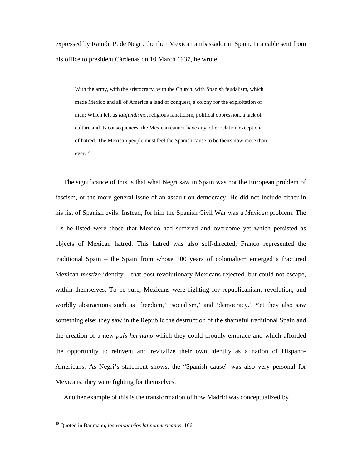expressed by Ramón P. de Negri, the then Mexican ambassador in Spain. In a cable sent from his office to president Cárdenas on 10 March 1937, he wrote:

With the army, with the aristocracy, with the Church, with Spanish feudalism, which made Mexico and all of America a land of conquest, a colony for the exploitation of man; Which left us *latifundismo*, religious fanaticism, political oppression, a lack of culture and its consequences, the Mexican cannot have any other relation except one of hatred. The Mexican people must feel the Spanish cause to be theirs now more than ever. 40

 The significance of this is that what Negri saw in Spain was not the European problem of fascism, or the more general issue of an assault on democracy. He did not include either in his list of Spanish evils. Instead, for him the Spanish Civil War was a *Mexican* problem. The ills he listed were those that Mexico had suffered and overcome yet which persisted as objects of Mexican hatred. This hatred was also self-directed; Franco represented the traditional Spain – the Spain from whose 300 years of colonialism emerged a fractured Mexican *mestizo* identity – that post-revolutionary Mexicans rejected, but could not escape, within themselves. To be sure, Mexicans were fighting for republicanism, revolution, and worldly abstractions such as 'freedom,' 'socialism,' and 'democracy.' Yet they also saw something else; they saw in the Republic the destruction of the shameful traditional Spain and the creation of a new *país hermano* which they could proudly embrace and which afforded the opportunity to reinvent and revitalize their own identity as a nation of Hispano-Americans. As Negri's statement shows, the "Spanish cause" was also very personal for Mexicans; they were fighting for themselves.

Another example of this is the transformation of how Madrid was conceptualized by

l,

<sup>40</sup> Quoted in Baumann, *los voluntarios latinoamericanos*, 166.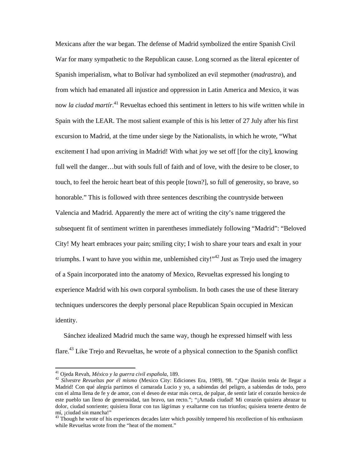Mexicans after the war began. The defense of Madrid symbolized the entire Spanish Civil War for many sympathetic to the Republican cause. Long scorned as the literal epicenter of Spanish imperialism, what to Bolívar had symbolized an evil stepmother (*madrastra*), and from which had emanated all injustice and oppression in Latin America and Mexico, it was now *la ciudad martír*. <sup>41</sup> Revueltas echoed this sentiment in letters to his wife written while in Spain with the LEAR. The most salient example of this is his letter of 27 July after his first excursion to Madrid, at the time under siege by the Nationalists, in which he wrote, "What excitement I had upon arriving in Madrid! With what joy we set off [for the city], knowing full well the danger…but with souls full of faith and of love, with the desire to be closer, to touch, to feel the heroic heart beat of this people [town?], so full of generosity, so brave, so honorable." This is followed with three sentences describing the countryside between Valencia and Madrid. Apparently the mere act of writing the city's name triggered the subsequent fit of sentiment written in parentheses immediately following "Madrid": "Beloved City! My heart embraces your pain; smiling city; I wish to share your tears and exalt in your triumphs. I want to have you within me, unblemished city!"<sup>42</sup> Just as Trejo used the imagery of a Spain incorporated into the anatomy of Mexico, Revueltas expressed his longing to experience Madrid with his own corporal symbolism. In both cases the use of these literary techniques underscores the deeply personal place Republican Spain occupied in Mexican identity.

 Sánchez idealized Madrid much the same way, though he expressed himself with less flare.<sup>43</sup> Like Trejo and Revueltas, he wrote of a physical connection to the Spanish conflict

<sup>41</sup> Ojeda Revah, *México y la guerra civil española*, 189.

<sup>42</sup> *Silvestre Revueltas por él mismo* (Mexico City: Ediciones Era, 1989), 98. "¡Que ilusión tenía de llegar a Madrid! Con qué alegría partimos el camarada Lucio y yo, a sabiendas del peligro, a sabiendas de todo, pero con el alma llena de fe y de amor, con el deseo de estar más cerca, de palpar, de sentir latir el corazón heroico de este pueblo tan lleno de generosidad, tan bravo, tan recto."; "¡Amada ciudad! Mi corazón quisiera abrazar tu dolor, ciudad sonriente; quisiera llorar con tus lágrimas y exaltarme con tus triunfos; quisiera tenerte dentro de mí, ¡ciudad sin mancha!"

<sup>&</sup>lt;sup>43</sup> Though he wrote of his experiences decades later which possibly tempered his recollection of his enthusiasm while Revueltas wrote from the "heat of the moment."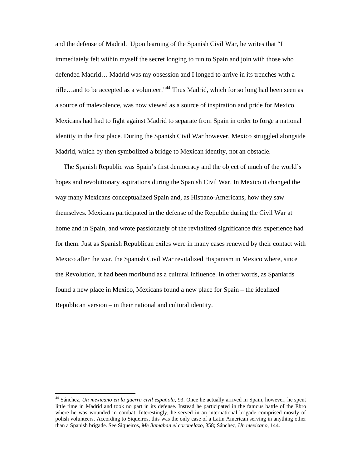and the defense of Madrid. Upon learning of the Spanish Civil War, he writes that "I immediately felt within myself the secret longing to run to Spain and join with those who defended Madrid… Madrid was my obsession and I longed to arrive in its trenches with a rifle...and to be accepted as a volunteer."<sup>44</sup> Thus Madrid, which for so long had been seen as a source of malevolence, was now viewed as a source of inspiration and pride for Mexico. Mexicans had had to fight against Madrid to separate from Spain in order to forge a national identity in the first place. During the Spanish Civil War however, Mexico struggled alongside Madrid, which by then symbolized a bridge to Mexican identity, not an obstacle.

 The Spanish Republic was Spain's first democracy and the object of much of the world's hopes and revolutionary aspirations during the Spanish Civil War. In Mexico it changed the way many Mexicans conceptualized Spain and, as Hispano-Americans, how they saw themselves. Mexicans participated in the defense of the Republic during the Civil War at home and in Spain, and wrote passionately of the revitalized significance this experience had for them. Just as Spanish Republican exiles were in many cases renewed by their contact with Mexico after the war, the Spanish Civil War revitalized Hispanism in Mexico where, since the Revolution, it had been moribund as a cultural influence. In other words, as Spaniards found a new place in Mexico, Mexicans found a new place for Spain – the idealized Republican version – in their national and cultural identity.

<sup>44</sup> Sánchez, *Un mexicano en la guerra civil española*, 93. Once he actually arrived in Spain, however, he spent little time in Madrid and took no part in its defense. Instead he participated in the famous battle of the Ebro where he was wounded in combat. Interestingly, he served in an international brigade comprised mostly of polish volunteers. According to Siqueiros, this was the only case of a Latin American serving in anything other than a Spanish brigade. See Siqueiros, *Me llamaban el coronelazo*, 358; Sánchez, *Un mexicano*, 144.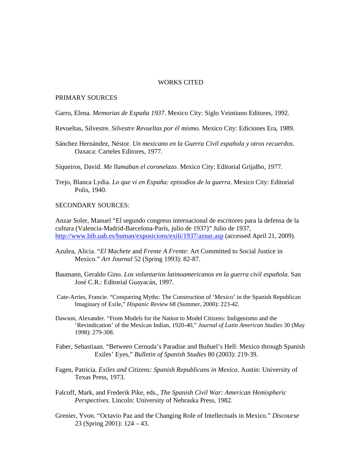## WORKS CITED

## PRIMARY SOURCES

Garro, Elena. *Memorias de España 1937*. Mexico City: Siglo Veintiuno Editores, 1992.

Revueltas, Silvestre. *Silvestre Revueltas por él mismo.* Mexico City: Ediciones Era, 1989.

Sánchez Hernández, Néstor. *Un mexicano en la Guerra Civil española y otros recuerdos*. Oaxaca: Carteles Editores, 1977.

Siqueiros, David. *Me llamaban el coronelazo*. Mexico City: Editorial Grijalbo, 1977.

Trejo, Blanca Lydia. *Lo que vi en España: episodios de la guerra*. Mexico City: Editorial Polis, 1940.

# SECONDARY SOURCES:

Anzar Soler, Manuel "El segundo congreso internacional de escritores para la defensa de la cultura (Valencia-Madrid-Barcelona-París, julio de 1937)" Julio de 1937, http://www.bib.uab.es/human/exposicions/exili/1937/aznar.asp (accessed April 21, 2009).

- Azulea, Alicia. "*El Machete* and *Frente A Frente*: Art Committed to Social Justice in Mexico." *Art Journal* 52 (Spring 1993): 82-87.
- Baumann, Geraldo Gino. *Los voluntarios latinoamericanos en la guerra civil española*. San José C.R.: Editorial Guayacán, 1997.
- Cate-Arries, Francie. "Conquering Myths: The Construction of 'Mexico' in the Spanish Republican Imaginary of Exile," *Hispanic Review* 68 (Summer, 2000): 223-42.
- Dawson, Alexander. "From Models for the Nation to Model Citizens: Indigenismo and the 'Revindication' of the Mexican Indian, 1920-40," *Journal of Latin American Studies* 30 (May 1998): 279-308.
- Faber, Sebastiaan. "Between Cernuda's Paradise and Buñuel's Hell: Mexico through Spanish Exiles' Eyes," *Bulletin of Spanish Studies* 80 (2003): 219-39.
- Fagen, Patricia. *Exiles and Citizens: Spanish Republicans in Mexico*. Austin: University of Texas Press, 1973.
- Falcoff, Mark, and Frederik Pike, eds., *The Spanish Civil War: American Hemispheric Perspectives*. Lincoln: University of Nebraska Press, 1982.
- Grenier, Yvon. "Octavio Paz and the Changing Role of Intellectuals in Mexico." *Discourse*  23 (Spring 2001): 124 – 43.